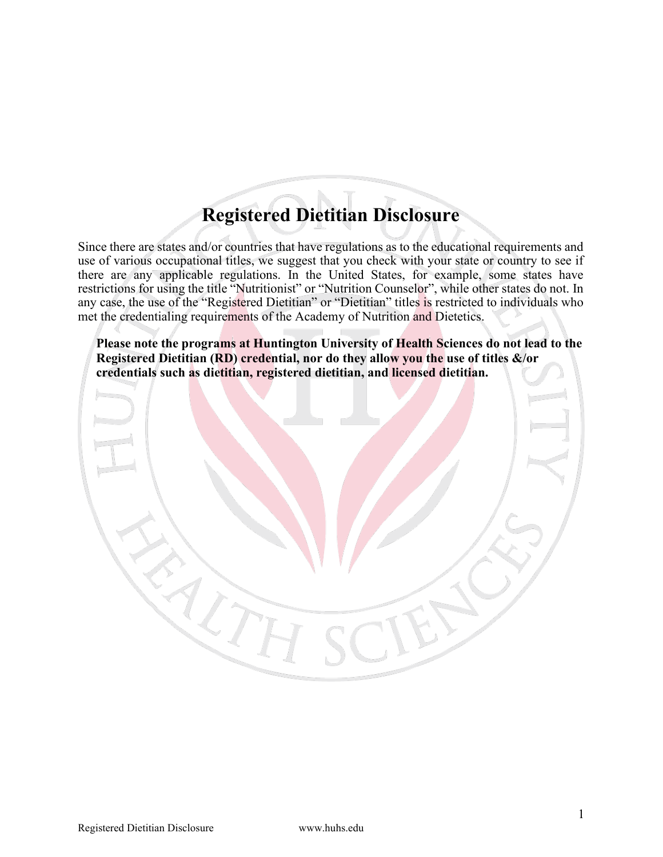# **Registered Dietitian Disclosure**

Since there are states and/or countries that have regulations as to the educational requirements and use of various occupational titles, we suggest that you check with your state or country to see if there are any applicable regulations. In the United States, for example, some states have restrictions for using the title "Nutritionist" or "Nutrition Counselor", while other states do not. In any case, the use of the "Registered Dietitian" or "Dietitian" titles is restricted to individuals who met the credentialing requirements of the Academy of Nutrition and Dietetics.

**Please note the programs at Huntington University of Health Sciences do not lead to the Registered Dietitian (RD) credential, nor do they allow you the use of titles &/or credentials such as dietitian, registered dietitian, and licensed dietitian.**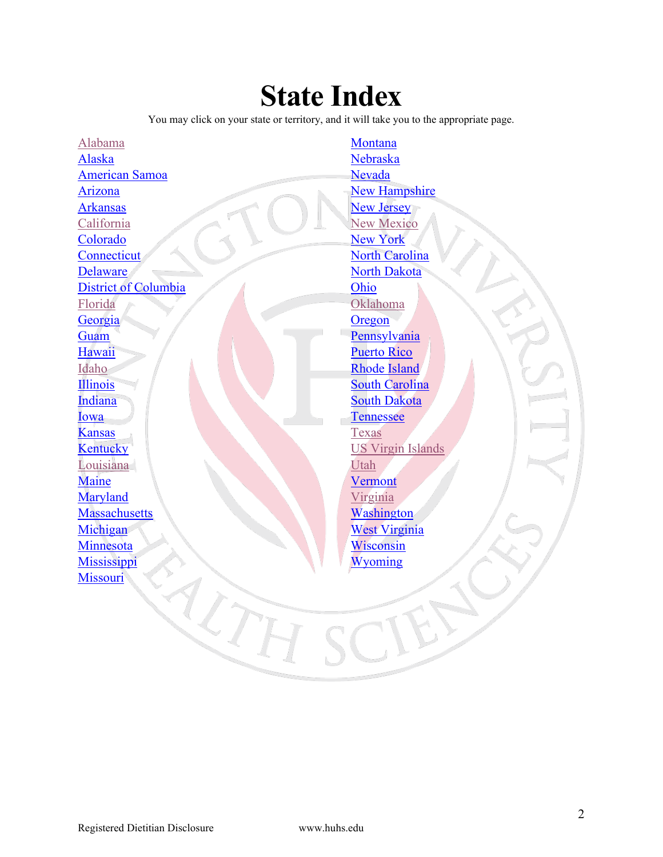# **State Index**

You may click on your state or territory, and it will take you to the appropriate page.

Ē

[Alabama](#page-2-0) [Alaska](#page-2-1) [American Samoa](#page-2-2) [Arizona](#page-3-0) [Arkansas](#page-3-1) [California](#page-3-2) [Colorado](#page-4-0) **[Connecticut](#page-4-1) [Delaware](#page-4-2)** [District of Columbia](#page-5-0) [Florida](#page-5-1) [Georgia](#page-5-2) **[Guam](#page-6-0)** [Hawaii](#page-6-1) [Idaho](#page-7-0) [Illinois](#page-7-1) **[Indiana](#page-7-2)** [Iowa](#page-8-0) [Kansas](#page-8-1) **[Kentucky](#page-8-2)** [Louisiana](#page-9-0) [Maine](#page-9-1) [Maryland](#page-10-0) **[Massachusetts](#page-10-1) [Michigan](#page-10-2)** [Minnesota](#page-11-0) **[Mississippi](#page-11-1) [Missouri](#page-11-2)** 红万

**[Montana](#page-12-0)** [Nebraska](#page-12-1) Nevada [New Hampshire](#page-13-0) [New Jersey](#page-13-1) [New Mexico](#page-14-0) [New York](#page-14-1) [North Carolina](#page-14-2) [North Dakota](#page-15-0) [Ohio](#page-15-1) [Oklahoma](#page-15-2) **[Oregon](#page-15-2)** [Pennsylvania](#page-16-0) [Puerto Rico](#page-17-0) [Rhode Island](#page-17-1) [South Carolina](#page-17-2) [South Dakota](#page-18-0) [Tennessee](#page-18-1) **[Texas](#page-18-2)** [US Virgin Islands](#page-20-0) [Utah](#page-19-0) **[Vermont](#page-20-1)** [Virginia](#page-20-2) **[Washington](#page-20-3)** [West Virginia](#page-21-0) [Wisconsin](#page-21-1) [Wyoming](#page-21-2)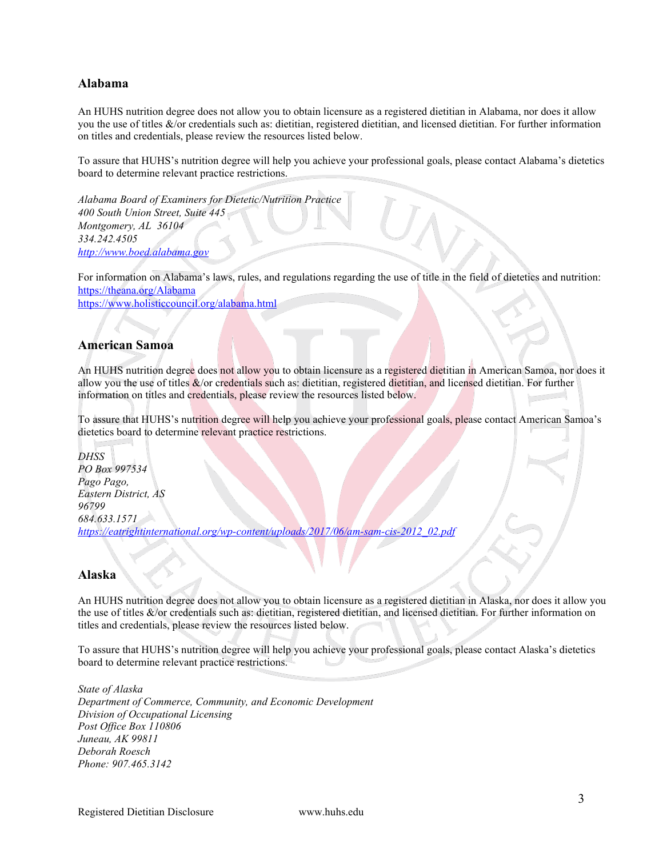#### <span id="page-2-0"></span>**Alabama**

An HUHS nutrition degree does not allow you to obtain licensure as a registered dietitian in Alabama, nor does it allow you the use of titles &/or credentials such as: dietitian, registered dietitian, and licensed dietitian. For further information on titles and credentials, please review the resources listed below.

To assure that HUHS's nutrition degree will help you achieve your professional goals, please contact Alabama's dietetics board to determine relevant practice restrictions.

*Alabama Board of Examiners for Dietetic/Nutrition Practice 400 South Union Street, Suite 445 Montgomery, AL 36104 334.242.4505 [http://www.boed.alabama.gov](http://www.boed.alabama.gov/)*

For information on Alabama's laws, rules, and regulations regarding the use of title in the field of dietetics and nutrition: <https://theana.org/Alabama>

<https://www.holisticcouncil.org/alabama.html>

#### <span id="page-2-2"></span>**American Samoa**

An HUHS nutrition degree does not allow you to obtain licensure as a registered dietitian in American Samoa, nor does it allow you the use of titles  $\&$ /or credentials such as: dietitian, registered dietitian, and licensed dietitian. For further information on titles and credentials, please review the resources listed below.

To assure that HUHS's nutrition degree will help you achieve your professional goals, please contact American Samoa's dietetics board to determine relevant practice restrictions.

*DHSS PO Box 997534 Pago Pago, Eastern District, AS 96799 684.633.1571 [https://eatrightinternational.org/wp-content/uploads/2017/06/am-sam-cis-2012\\_02.pdf](https://eatrightinternational.org/wp-content/uploads/2017/06/am-sam-cis-2012_02.pdf)*

#### <span id="page-2-1"></span>**Alaska**

An HUHS nutrition degree does not allow you to obtain licensure as a registered dietitian in Alaska, nor does it allow you the use of titles &/or credentials such as: dietitian, registered dietitian, and licensed dietitian. For further information on titles and credentials, please review the resources listed below.

To assure that HUHS's nutrition degree will help you achieve your professional goals, please contact Alaska's dietetics board to determine relevant practice restrictions.

*State of Alaska Department of Commerce, Community, and Economic Development Division of Occupational Licensing Post Office Box 110806 Juneau, AK 99811 Deborah Roesch Phone: 907.465.3142*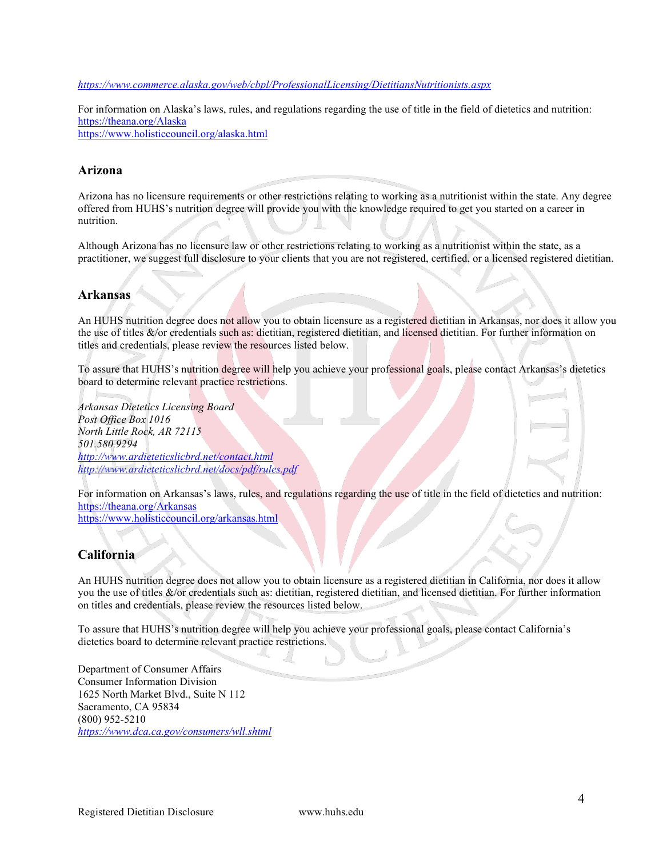#### *<https://www.commerce.alaska.gov/web/cbpl/ProfessionalLicensing/DietitiansNutritionists.aspx>*

For information on Alaska's laws, rules, and regulations regarding the use of title in the field of dietetics and nutrition: <https://theana.org/Alaska> <https://www.holisticcouncil.org/alaska.html>

#### <span id="page-3-0"></span>**Arizona**

Arizona has no licensure requirements or other restrictions relating to working as a nutritionist within the state. Any degree offered from HUHS's nutrition degree will provide you with the knowledge required to get you started on a career in nutrition.

Although Arizona has no licensure law or other restrictions relating to working as a nutritionist within the state, as a practitioner, we suggest full disclosure to your clients that you are not [registered,](http://nutritionadvocacy.org/laws-state#68) [certified,](http://nutritionadvocacy.org/laws-state#63) or a licensed registered dietitian.

#### <span id="page-3-1"></span>**Arkansas**

An HUHS nutrition degree does not allow you to obtain licensure as a registered dietitian in Arkansas, nor does it allow you the use of titles &/or credentials such as: dietitian, registered dietitian, and licensed dietitian. For further information on titles and credentials, please review the resources listed below.

To assure that HUHS's nutrition degree will help you achieve your professional goals, please contact Arkansas's dietetics board to determine relevant practice restrictions.

*Arkansas Dietetics Licensing Board Post Office Box 1016 North Little Rock, AR 72115 501.580.9294 <http://www.ardieteticslicbrd.net/contact.html> http://www.ardieteticslicbrd.net/docs/pdf/rules.pdf*

For information on Arkansas's laws, rules, and regulations regarding the use of title in the field of dietetics and nutrition: <https://theana.org/Arkansas> <https://www.holisticcouncil.org/arkansas.html>

#### <span id="page-3-2"></span>**California**

An HUHS nutrition degree does not allow you to obtain licensure as a registered dietitian in California, nor does it allow you the use of titles &/or credentials such as: dietitian, registered dietitian, and licensed dietitian. For further information on titles and credentials, please review the resources listed below.

To assure that HUHS's nutrition degree will help you achieve your professional goals, please contact California's dietetics board to determine relevant practice restrictions.

Department of Consumer Affairs Consumer Information Division 1625 North Market Blvd., Suite N 112 Sacramento, CA 95834 (800) 952-5210 *<https://www.dca.ca.gov/consumers/wll.shtml>*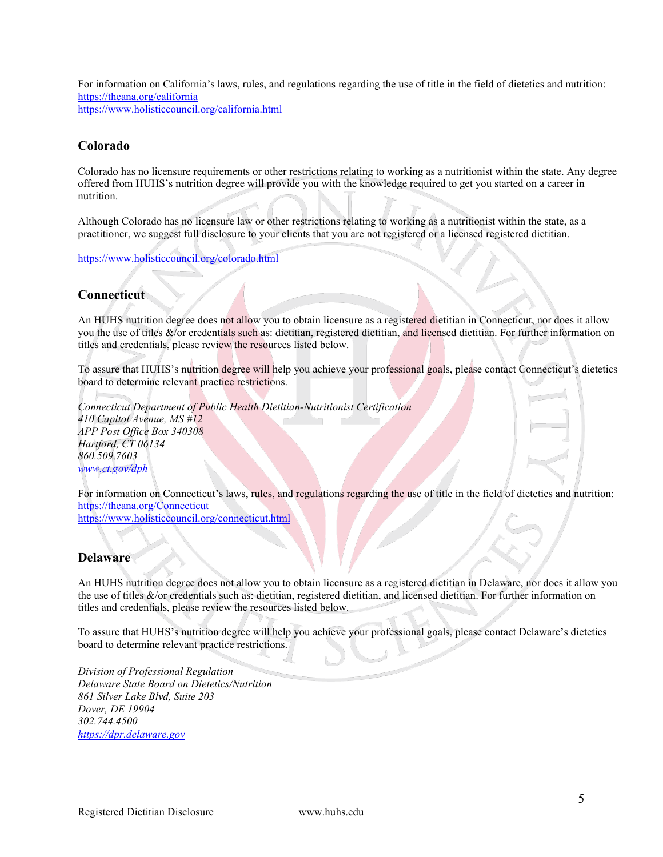For information on California's laws, rules, and regulations regarding the use of title in the field of dietetics and nutrition: <https://theana.org/california> <https://www.holisticcouncil.org/california.html>

#### <span id="page-4-0"></span>**Colorado**

Colorado has no licensure requirements or other restrictions relating to working as a nutritionist within the state. Any degree offered from HUHS's nutrition degree will provide you with the knowledge required to get you started on a career in nutrition.

Although Colorado has no licensure law or other restrictions relating to working as a nutritionist within the state, as a practitioner, we suggest full disclosure to your clients that you are not [registered](http://nutritionadvocacy.org/laws-state#68) or a licensed registered dietitian.

<https://www.holisticcouncil.org/colorado.html>

#### <span id="page-4-1"></span>**Connecticut**

An HUHS nutrition degree does not allow you to obtain licensure as a registered dietitian in Connecticut, nor does it allow you the use of titles &/or credentials such as: dietitian, registered dietitian, and licensed dietitian. For further information on titles and credentials, please review the resources listed below.

To assure that HUHS's nutrition degree will help you achieve your professional goals, please contact Connecticut's dietetics board to determine relevant practice restrictions.

*Connecticut Department of Public Health Dietitian-Nutritionist Certification 410 Capitol Avenue, MS #12 APP Post Office Box 340308 Hartford, CT 06134 860.509.7603 [www.ct.gov/dph](http://www.ct.gov/dph)*

For information on Connecticut's laws, rules, and regulations regarding the use of title in the field of dietetics and nutrition: <https://theana.org/Connecticut> <https://www.holisticcouncil.org/connecticut.html>

#### <span id="page-4-2"></span>**Delaware**

An HUHS nutrition degree does not allow you to obtain licensure as a registered dietitian in Delaware, nor does it allow you the use of titles &/or credentials such as: dietitian, registered dietitian, and licensed dietitian. For further information on titles and credentials, please review the resources listed below.

To assure that HUHS's nutrition degree will help you achieve your professional goals, please contact Delaware's dietetics board to determine relevant practice restrictions.

*Division of Professional Regulation Delaware State Board on Dietetics/Nutrition 861 Silver Lake Blvd, Suite 203 Dover, DE 19904 302.744.4500 [https://dpr.delaware.gov](https://dpr.delaware.gov/)*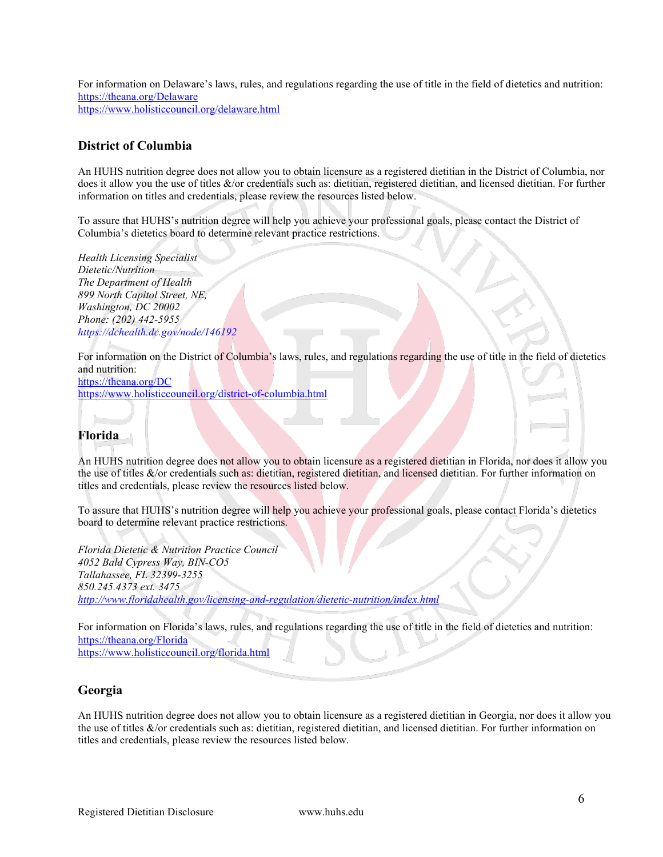For information on Delaware's laws, rules, and regulations regarding the use of title in the field of dietetics and nutrition: <https://theana.org/Delaware> <https://www.holisticcouncil.org/delaware.html>

#### <span id="page-5-0"></span>**District of Columbia**

An HUHS nutrition degree does not allow you to obtain licensure as a registered dietitian in the District of Columbia, nor does it allow you the use of titles &/or credentials such as: dietitian, registered dietitian, and licensed dietitian. For further information on titles and credentials, please review the resources listed below.

To assure that HUHS's nutrition degree will help you achieve your professional goals, please contact the District of Columbia's dietetics board to determine relevant practice restrictions.

*Health Licensing Specialist Dietetic/Nutrition The Department of Health 899 North Capitol Street, NE, Washington, DC 20002 Phone: (202) 442-5955 <https://dchealth.dc.gov/node/146192>*

For information on the District of Columbia's laws, rules, and regulations regarding the use of title in the field of dietetics and nutrition:

<https://theana.org/DC> <https://www.holisticcouncil.org/district-of-columbia.html>

## <span id="page-5-1"></span>**Florida**

An HUHS nutrition degree does not allow you to obtain licensure as a registered dietitian in Florida, nor does it allow you the use of titles &/or credentials such as: dietitian, registered dietitian, and licensed dietitian. For further information on titles and credentials, please review the resources listed below.

To assure that HUHS's nutrition degree will help you achieve your professional goals, please contact Florida's dietetics board to determine relevant practice restrictions.

*Florida Dietetic & Nutrition Practice Council 4052 Bald Cypress Way, BIN-CO5 Tallahassee, FL 32399-3255 850.245.4373 ext. 3475 <http://www.floridahealth.gov/licensing-and-regulation/dietetic-nutrition/index.html>*

For information on Florida's laws, rules, and regulations regarding the use of title in the field of dietetics and nutrition: <https://theana.org/Florida> <https://www.holisticcouncil.org/florida.html>

#### <span id="page-5-2"></span>**Georgia**

An HUHS nutrition degree does not allow you to obtain licensure as a registered dietitian in Georgia, nor does it allow you the use of titles &/or credentials such as: dietitian, registered dietitian, and licensed dietitian. For further information on titles and credentials, please review the resources listed below.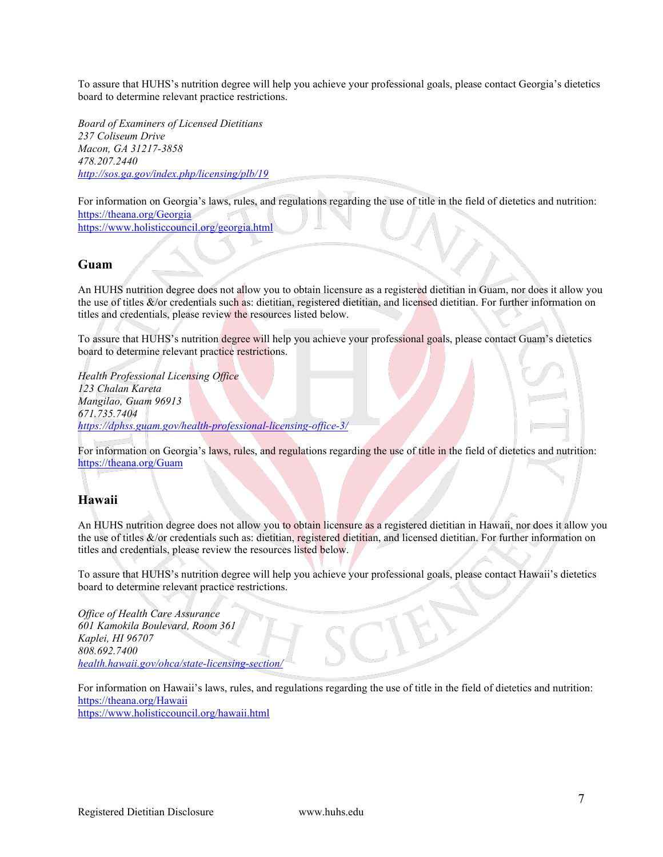To assure that HUHS's nutrition degree will help you achieve your professional goals, please contact Georgia's dietetics board to determine relevant practice restrictions.

*Board of Examiners of Licensed Dietitians 237 Coliseum Drive Macon, GA 31217-3858 478.207.2440 <http://sos.ga.gov/index.php/licensing/plb/19>*

For information on Georgia's laws, rules, and regulations regarding the use of title in the field of dietetics and nutrition: <https://theana.org/Georgia> <https://www.holisticcouncil.org/georgia.html>

#### <span id="page-6-0"></span>**Guam**

An HUHS nutrition degree does not allow you to obtain licensure as a registered dietitian in Guam, nor does it allow you the use of titles &/or credentials such as: dietitian, registered dietitian, and licensed dietitian. For further information on titles and credentials, please review the resources listed below.

To assure that HUHS's nutrition degree will help you achieve your professional goals, please contact Guam's dietetics board to determine relevant practice restrictions.

*Health Professional Licensing Office 123 Chalan Kareta Mangilao, Guam 96913 671.735.7404 <https://dphss.guam.gov/health-professional-licensing-office-3/>*

For information on Georgia's laws, rules, and regulations regarding the use of title in the field of dietetics and nutrition: <https://theana.org/Guam>

#### <span id="page-6-1"></span>**Hawaii**

An HUHS nutrition degree does not allow you to obtain licensure as a registered dietitian in Hawaii, nor does it allow you the use of titles &/or credentials such as: dietitian, registered dietitian, and licensed dietitian. For further information on titles and credentials, please review the resources listed below.

To assure that HUHS's nutrition degree will help you achieve your professional goals, please contact Hawaii's dietetics board to determine relevant practice restrictions.

*Office of Health Care Assurance 601 Kamokila Boulevard, Room 361 Kaplei, HI 96707 808.692.7400 [health.hawaii.gov/ohca/state-licensing-section/](http://health.hawaii.gov/ohca/state-licensing-section/)*

For information on Hawaii's laws, rules, and regulations regarding the use of title in the field of dietetics and nutrition: <https://theana.org/Hawaii> <https://www.holisticcouncil.org/hawaii.html>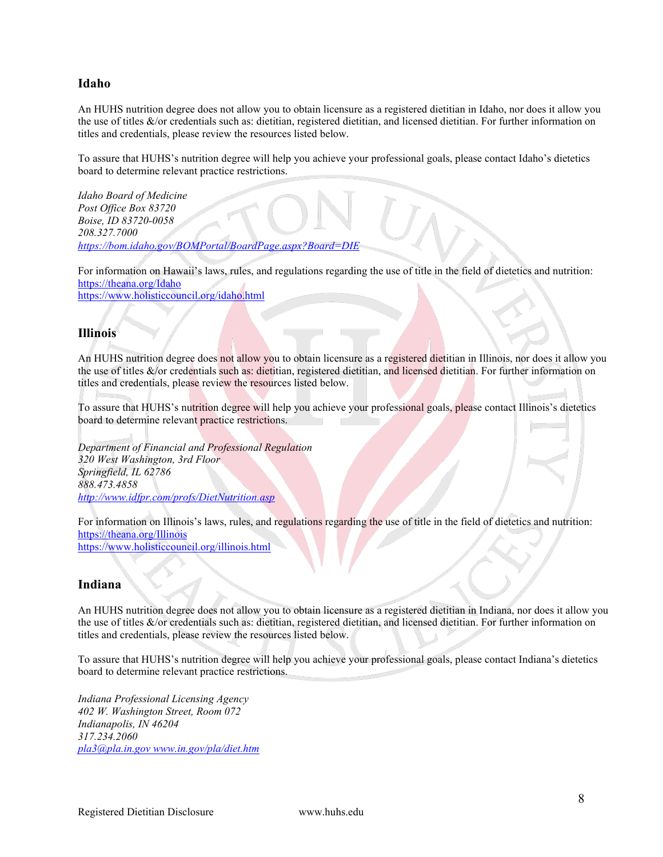#### <span id="page-7-0"></span>**Idaho**

An HUHS nutrition degree does not allow you to obtain licensure as a registered dietitian in Idaho, nor does it allow you the use of titles &/or credentials such as: dietitian, registered dietitian, and licensed dietitian. For further information on titles and credentials, please review the resources listed below.

To assure that HUHS's nutrition degree will help you achieve your professional goals, please contact Idaho's dietetics board to determine relevant practice restrictions.

*Idaho Board of Medicine Post Office Box 83720 Boise, ID 83720-0058 208.327.7000 <https://bom.idaho.gov/BOMPortal/BoardPage.aspx?Board=DIE>*

For information on Hawaii's laws, rules, and regulations regarding the use of title in the field of dietetics and nutrition: <https://theana.org/Idaho> <https://www.holisticcouncil.org/idaho.html>

#### <span id="page-7-1"></span>**Illinois**

An HUHS nutrition degree does not allow you to obtain licensure as a registered dietitian in Illinois, nor does it allow you the use of titles &/or credentials such as: dietitian, registered dietitian, and licensed dietitian. For further information on titles and credentials, please review the resources listed below.

To assure that HUHS's nutrition degree will help you achieve your professional goals, please contact Illinois's dietetics board to determine relevant practice restrictions. mп.

*Department of Financial and Professional Regulation 320 West Washington, 3rd Floor Springfield, IL 62786 888.473.4858 <http://www.idfpr.com/profs/DietNutrition.asp>*

For information on Illinois's laws, rules, and regulations regarding the use of title in the field of dietetics and nutrition: <https://theana.org/Illinois>

<https://www.holisticcouncil.org/illinois.html>

#### <span id="page-7-2"></span>**Indiana**

An HUHS nutrition degree does not allow you to obtain licensure as a registered dietitian in Indiana, nor does it allow you the use of titles &/or credentials such as: dietitian, registered dietitian, and licensed dietitian. For further information on titles and credentials, please review the resources listed below.

To assure that HUHS's nutrition degree will help you achieve your professional goals, please contact Indiana's dietetics board to determine relevant practice restrictions.

*Indiana Professional Licensing Agency 402 W. Washington Street, Room 072 Indianapolis, IN 46204 317.234.2060 [pla3@pla.in.gov](mailto:pla3@pla.in.gov) [www.in.gov/pla/diet.htm](http://www.in.gov/pla/diet.htm)*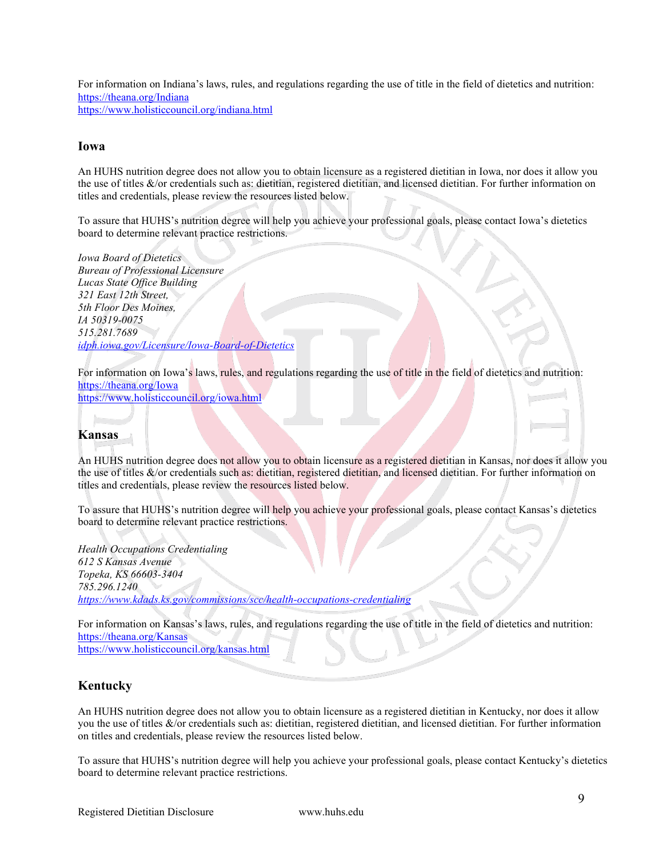For information on Indiana's laws, rules, and regulations regarding the use of title in the field of dietetics and nutrition: <https://theana.org/Indiana> <https://www.holisticcouncil.org/indiana.html>

#### <span id="page-8-0"></span>**Iowa**

An HUHS nutrition degree does not allow you to obtain licensure as a registered dietitian in Iowa, nor does it allow you the use of titles &/or credentials such as: dietitian, registered dietitian, and licensed dietitian. For further information on titles and credentials, please review the resources listed below.

To assure that HUHS's nutrition degree will help you achieve your professional goals, please contact Iowa's dietetics board to determine relevant practice restrictions.

*Iowa Board of Dietetics Bureau of Professional Licensure Lucas State Office Building 321 East 12th Street, 5th Floor Des Moines, IA 50319-0075 515.281.7689 [idph.iowa.gov/Licensure/Iowa-Board-of-Dietetics](https://idph.iowa.gov/Licensure/Iowa-Board-of-Dietetics)*

For information on Iowa's laws, rules, and regulations regarding the use of title in the field of dietetics and nutrition: <https://theana.org/Iowa>

<https://www.holisticcouncil.org/iowa.html>

<span id="page-8-1"></span>

An HUHS nutrition degree does not allow you to obtain licensure as a registered dietitian in Kansas, nor does it allow you the use of titles &/or credentials such as: dietitian, registered dietitian, and licensed dietitian. For further information on titles and credentials, please review the resources listed below.

To assure that HUHS's nutrition degree will help you achieve your professional goals, please contact Kansas's dietetics board to determine relevant practice restrictions.

*Health Occupations Credentialing 612 S Kansas Avenue Topeka, KS 66603-3404 785.296.1240 <https://www.kdads.ks.gov/commissions/scc/health-occupations-credentialing>*

For information on Kansas's laws, rules, and regulations regarding the use of title in the field of dietetics and nutrition: <https://theana.org/Kansas>

<https://www.holisticcouncil.org/kansas.html>

#### <span id="page-8-2"></span>**Kentucky**

An HUHS nutrition degree does not allow you to obtain licensure as a registered dietitian in Kentucky, nor does it allow you the use of titles &/or credentials such as: dietitian, registered dietitian, and licensed dietitian. For further information on titles and credentials, please review the resources listed below.

To assure that HUHS's nutrition degree will help you achieve your professional goals, please contact Kentucky's dietetics board to determine relevant practice restrictions.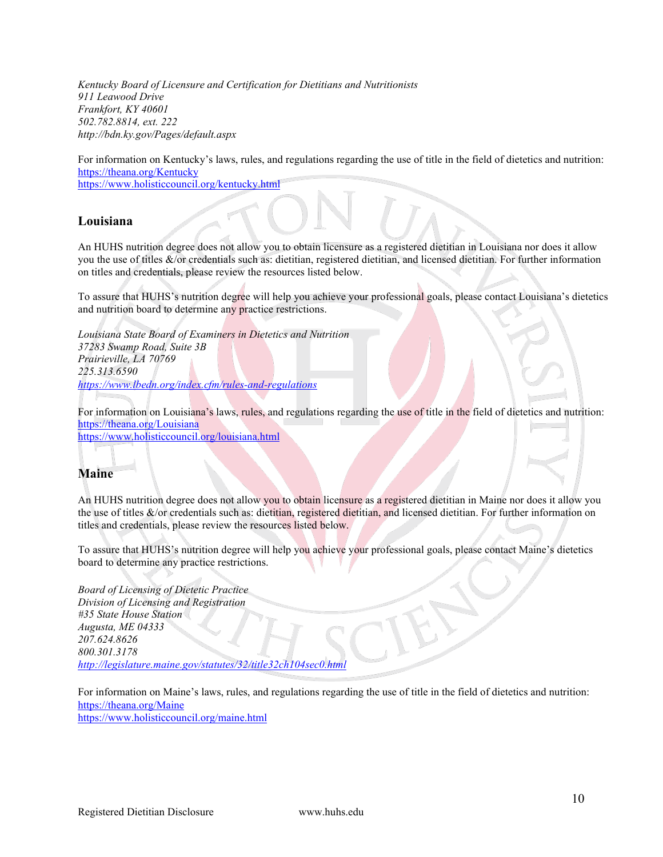*Kentucky Board of Licensure and Certification for Dietitians and Nutritionists 911 Leawood Drive Frankfort, KY 40601 502.782.8814, ext. 222 http://bdn.ky.gov/Pages/default.aspx*

For information on Kentucky's laws, rules, and regulations regarding the use of title in the field of dietetics and nutrition: <https://theana.org/Kentucky>

<https://www.holisticcouncil.org/kentucky.html>

#### <span id="page-9-0"></span>**Louisiana**

An HUHS nutrition degree does not allow you to obtain licensure as a registered dietitian in Louisiana nor does it allow you the use of titles &/or credentials such as: dietitian, registered dietitian, and licensed dietitian. For further information on titles and credentials, please review the resources listed below.

To assure that HUHS's nutrition degree will help you achieve your professional goals, please contact Louisiana's dietetics and nutrition board to determine any practice restrictions.

*Louisiana State Board of Examiners in Dietetics and Nutrition 37283 Swamp Road, Suite 3B Prairieville, LA 70769 225.313.6590 <https://www.lbedn.org/index.cfm/rules-and-regulations>*

For information on Louisiana's laws, rules, and regulations regarding the use of title in the field of dietetics and nutrition: <https://theana.org/Louisiana>

<https://www.holisticcouncil.org/louisiana.html>

### <span id="page-9-1"></span>**Maine**

An HUHS nutrition degree does not allow you to obtain licensure as a registered dietitian in Maine nor does it allow you the use of titles &/or credentials such as: dietitian, registered dietitian, and licensed dietitian. For further information on titles and credentials, please review the resources listed below.

To assure that HUHS's nutrition degree will help you achieve your professional goals, please contact Maine's dietetics board to determine any practice restrictions.

*Board of Licensing of Dietetic Practice Division of Licensing and Registration #35 State House Station Augusta, ME 04333 [207.624.8626](http://www.maine.gov/pfr/professionallicensing/professions/dietitians/index.html) 800.301.3178 <http://legislature.maine.gov/statutes/32/title32ch104sec0.html>*

For information on Maine's laws, rules, and regulations regarding the use of title in the field of dietetics and nutrition: <https://theana.org/Maine>

<https://www.holisticcouncil.org/maine.html>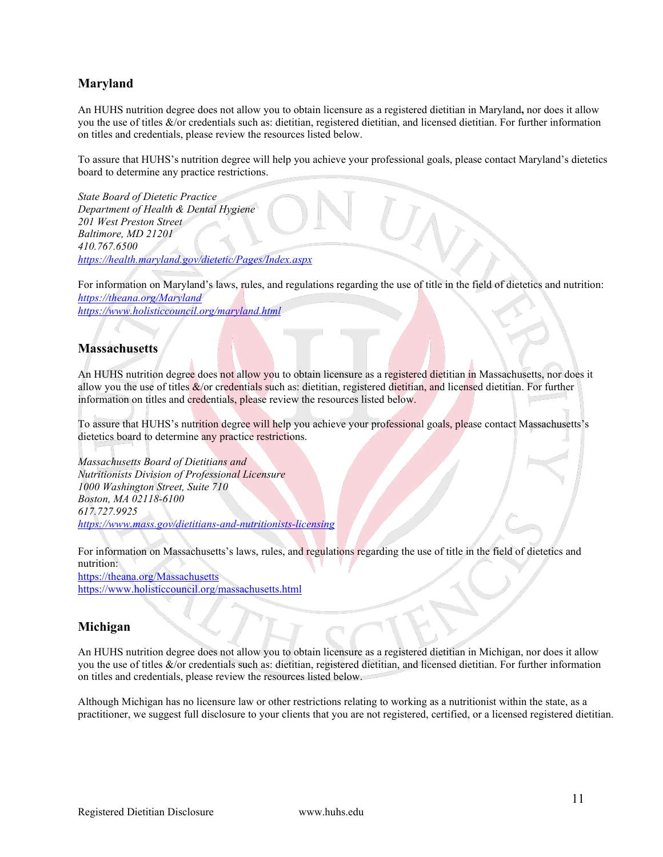#### <span id="page-10-0"></span>**Maryland**

An HUHS nutrition degree does not allow you to obtain licensure as a registered dietitian in Maryland**,** nor does it allow you the use of titles &/or credentials such as: dietitian, registered dietitian, and licensed dietitian. For further information on titles and credentials, please review the resources listed below.

To assure that HUHS's nutrition degree will help you achieve your professional goals, please contact Maryland's dietetics board to determine any practice restrictions.

*State Board of Dietetic Practice Department of Health & Dental Hygiene 201 West Preston Street Baltimore, MD 21201 410.767.6500 <https://health.maryland.gov/dietetic/Pages/Index.aspx>*

For information on Maryland's laws, rules, and regulations regarding the use of title in the field of dietetics and nutrition: *<https://theana.org/Maryland> <https://www.holisticcouncil.org/maryland.html>*

#### <span id="page-10-1"></span>**Massachusetts**

An HUHS nutrition degree does not allow you to obtain licensure as a registered dietitian in Massachusetts, nor does it allow you the use of titles  $\&$ /or credentials such as: dietitian, registered dietitian, and licensed dietitian. For further information on titles and credentials, please review the resources listed below.

To assure that HUHS's nutrition degree will help you achieve your professional goals, please contact Massachusetts's dietetics board to determine any practice restrictions.

*Massachusetts Board of Dietitians and Nutritionists Division of Professional Licensure 1000 Washington Street, Suite 710 Boston, MA 02118-6100 617.727.9925 <https://www.mass.gov/dietitians-and-nutritionists-licensing>*

For information on Massachusetts's laws, rules, and regulations regarding the use of title in the field of dietetics and nutrition:

<https://theana.org/Massachusetts> <https://www.holisticcouncil.org/massachusetts.html>

#### <span id="page-10-2"></span>**Michigan**

An HUHS nutrition degree does not allow you to obtain licensure as a registered dietitian in Michigan, nor does it allow you the use of titles &/or credentials such as: dietitian, registered dietitian, and licensed dietitian. For further information on titles and credentials, please review the resources listed below.

Although Michigan has no licensure law or other restrictions relating to working as a nutritionist within the state, as a practitioner, we suggest full disclosure to your clients that you are not [registered,](http://nutritionadvocacy.org/laws-state#68) [certified,](http://nutritionadvocacy.org/laws-state#63) or a licensed registered dietitian.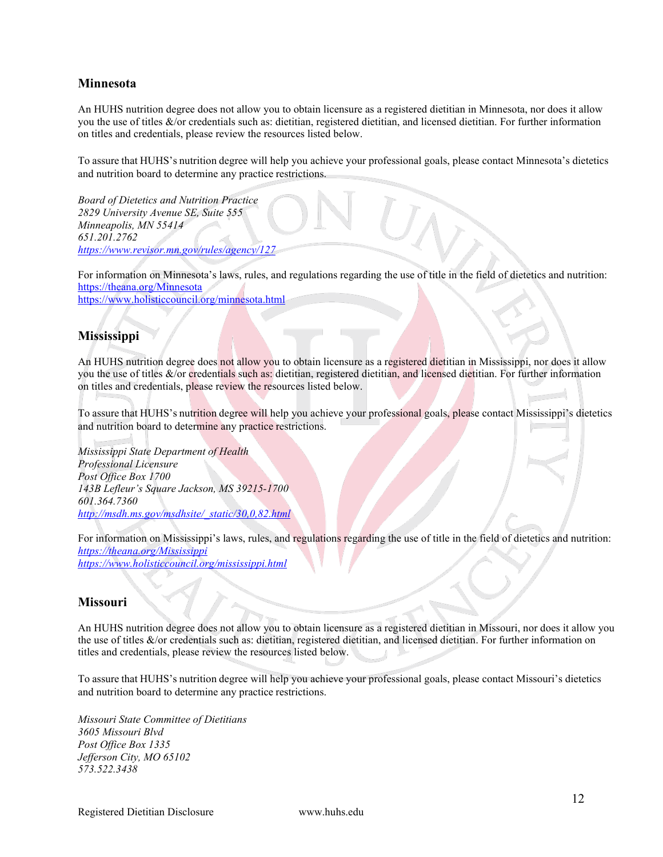#### <span id="page-11-0"></span>**Minnesota**

An HUHS nutrition degree does not allow you to obtain licensure as a registered dietitian in Minnesota, nor does it allow you the use of titles &/or credentials such as: dietitian, registered dietitian, and licensed dietitian. For further information on titles and credentials, please review the resources listed below.

To assure that HUHS's nutrition degree will help you achieve your professional goals, please contact Minnesota's dietetics and nutrition board to determine any practice restrictions.

*Board of Dietetics and Nutrition Practice 2829 University Avenue SE, Suite 555 Minneapolis, MN 55414 651.201.2762 <https://www.revisor.mn.gov/rules/agency/127>*

For information on Minnesota's laws, rules, and regulations regarding the use of title in the field of dietetics and nutrition: <https://theana.org/Minnesota> <https://www.holisticcouncil.org/minnesota.html>

#### <span id="page-11-1"></span>**Mississippi**

An HUHS nutrition degree does not allow you to obtain licensure as a registered dietitian in Mississippi, nor does it allow you the use of titles &/or credentials such as: dietitian, registered dietitian, and licensed dietitian. For further information on titles and credentials, please review the resources listed below.

To assure that HUHS's nutrition degree will help you achieve your professional goals, please contact Mississippi's dietetics and nutrition board to determine any practice restrictions.

*Mississippi State Department of Health Professional Licensure Post Office Box 1700 143B Lefleur's Square Jackson, MS 39215-1700 601.364.7360 [http://msdh.ms.gov/msdhsite/\\_static/30,0,82.html](http://msdh.ms.gov/msdhsite/_static/30,0,82.html)*

For information on Mississippi's laws, rules, and regulations regarding the use of title in the field of dietetics and nutrition: *<https://theana.org/Mississippi> https://www.holisticcouncil.org/mississippi.html*

#### <span id="page-11-2"></span>**Missouri**

An HUHS nutrition degree does not allow you to obtain licensure as a registered dietitian in Missouri, nor does it allow you the use of titles &/or credentials such as: dietitian, registered dietitian, and licensed dietitian. For further information on titles and credentials, please review the resources listed below.

To assure that HUHS's nutrition degree will help you achieve your professional goals, please contact Missouri's dietetics and nutrition board to determine any practice restrictions.

*Missouri State Committee of Dietitians 3605 Missouri Blvd Post Office Box 1335 Jefferson City, MO 65102 573.522.3438*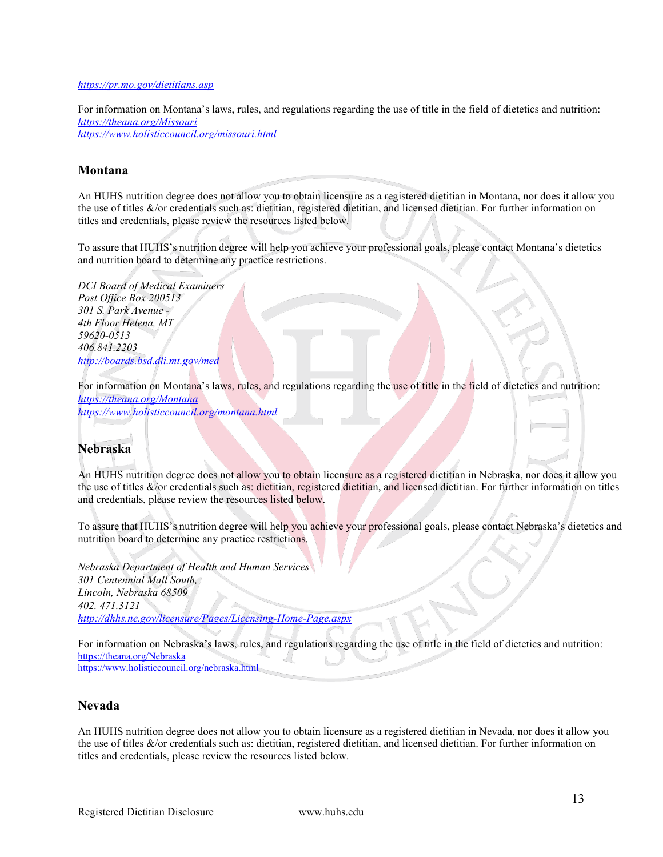#### *<https://pr.mo.gov/dietitians.asp>*

For information on Montana's laws, rules, and regulations regarding the use of title in the field of dietetics and nutrition: *<https://theana.org/Missouri> <https://www.holisticcouncil.org/missouri.html>*

#### <span id="page-12-0"></span>**Montana**

An HUHS nutrition degree does not allow you to obtain licensure as a registered dietitian in Montana, nor does it allow you the use of titles &/or credentials such as: dietitian, registered dietitian, and licensed dietitian. For further information on titles and credentials, please review the resources listed below.

To assure that HUHS's nutrition degree will help you achieve your professional goals, please contact Montana's dietetics and nutrition board to determine any practice restrictions.

*DCI Board of Medical Examiners Post Office Box 200513 301 S. Park Avenue - 4th Floor Helena, MT 59620-0513 406.841.2203 <http://boards.bsd.dli.mt.gov/med>*

For information on Montana's laws, rules, and regulations regarding the use of title in the field of dietetics and nutrition: *<https://theana.org/Montana> <https://www.holisticcouncil.org/montana.html>*

#### <span id="page-12-1"></span>**Nebraska**

An HUHS nutrition degree does not allow you to obtain licensure as a registered dietitian in Nebraska, nor does it allow you the use of titles &/or credentials such as: dietitian, registered dietitian, and licensed dietitian. For further information on titles and credentials, please review the resources listed below.

To assure that HUHS's nutrition degree will help you achieve your professional goals, please contact Nebraska's dietetics and nutrition board to determine any practice restrictions.

*Nebraska Department of Health and Human Services 301 Centennial Mall South, Lincoln, Nebraska 68509 402. 471.3121 http://dhhs.ne.gov/licensure/Pages/Licensing-Home-Page.aspx*

For information on Nebraska's laws, rules, and regulations regarding the use of title in the field of dietetics and nutrition: <https://theana.org/Nebraska> <https://www.holisticcouncil.org/nebraska.html>

#### **Nevada**

An HUHS nutrition degree does not allow you to obtain licensure as a registered dietitian in Nevada, nor does it allow you the use of titles &/or credentials such as: dietitian, registered dietitian, and licensed dietitian. For further information on titles and credentials, please review the resources listed below.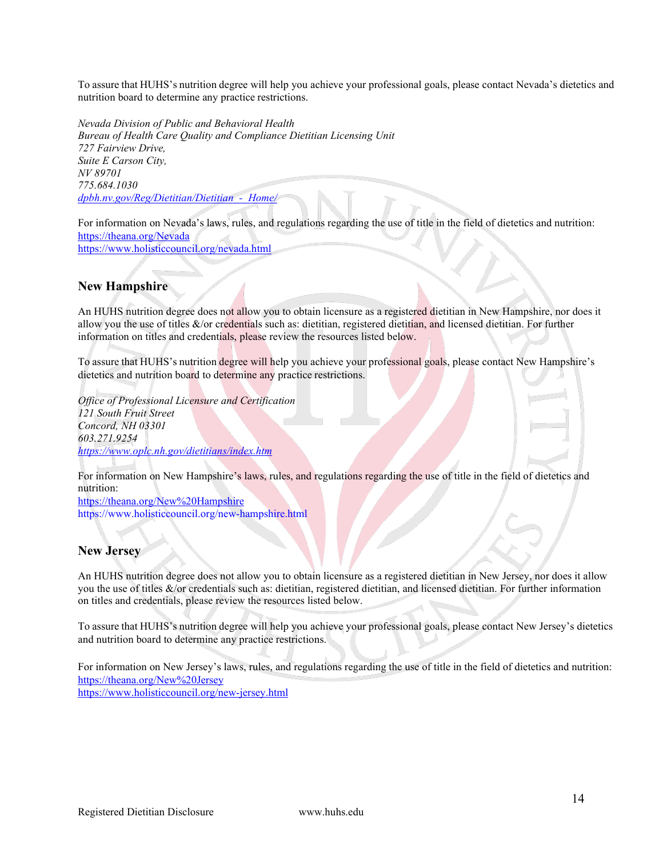To assure that HUHS's nutrition degree will help you achieve your professional goals, please contact Nevada's dietetics and nutrition board to determine any practice restrictions.

*Nevada Division of Public and Behavioral Health Bureau of Health Care Quality and Compliance Dietitian Licensing Unit 727 Fairview Drive, Suite E Carson City, NV 89701 775.684.1030 dpbh.nv.gov/Reg/Dietitian/Dietitian\_-\_Home/*

For information on Nevada's laws, rules, and regulations regarding the use of title in the field of dietetics and nutrition: <https://theana.org/Nevada> <https://www.holisticcouncil.org/nevada.html>

#### <span id="page-13-0"></span>**New Hampshire**

An HUHS nutrition degree does not allow you to obtain licensure as a registered dietitian in New Hampshire, nor does it allow you the use of titles  $&0$  credentials such as: dietitian, registered dietitian, and licensed dietitian. For further information on titles and credentials, please review the resources listed below.

To assure that HUHS's nutrition degree will help you achieve your professional goals, please contact New Hampshire's dietetics and nutrition board to determine any practice restrictions.

*Office of Professional Licensure and Certification 121 South Fruit Street Concord, NH 03301 603.271.9254 <https://www.oplc.nh.gov/dietitians/index.htm>*

For information on New Hampshire's laws, rules, and regulations regarding the use of title in the field of dietetics and nutrition:

<https://theana.org/New%20Hampshire> https://www.holisticcouncil.org/new-hampshire.html

#### <span id="page-13-1"></span>**New Jersey**

An HUHS nutrition degree does not allow you to obtain licensure as a registered dietitian in New Jersey, nor does it allow you the use of titles &/or credentials such as: dietitian, registered dietitian, and licensed dietitian. For further information on titles and credentials, please review the resources listed below.

To assure that HUHS's nutrition degree will help you achieve your professional goals, please contact New Jersey's dietetics and nutrition board to determine any practice restrictions.

For information on New Jersey's laws, rules, and regulations regarding the use of title in the field of dietetics and nutrition: <https://theana.org/New%20Jersey> <https://www.holisticcouncil.org/new-jersey.html>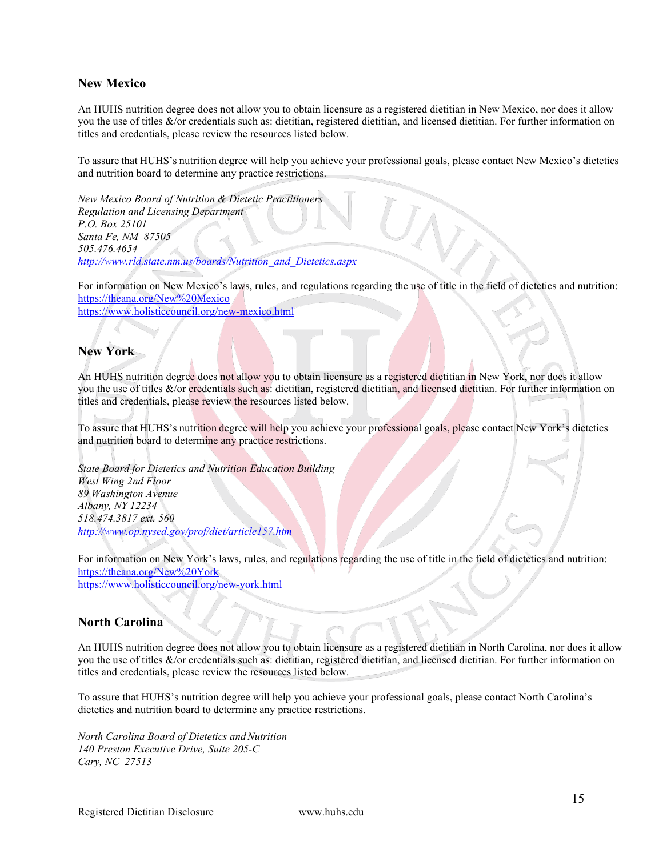#### <span id="page-14-0"></span>**New Mexico**

An HUHS nutrition degree does not allow you to obtain licensure as a registered dietitian in New Mexico, nor does it allow you the use of titles &/or credentials such as: dietitian, registered dietitian, and licensed dietitian. For further information on titles and credentials, please review the resources listed below.

To assure that HUHS's nutrition degree will help you achieve your professional goals, please contact New Mexico's dietetics and nutrition board to determine any practice restrictions.

*New Mexico Board of Nutrition & Dietetic Practitioners Regulation and Licensing Department P.O. Box 25101 Santa Fe, NM 87505 505.476.4654 [http://www.rld.state.nm.us/boards/Nutrition\\_and\\_Dietetics.aspx](http://www.rld.state.nm.us/boards/Nutrition_and_Dietetics.aspx)*

For information on New Mexico's laws, rules, and regulations regarding the use of title in the field of dietetics and nutrition: <https://theana.org/New%20Mexico>

<https://www.holisticcouncil.org/new-mexico.html>

#### <span id="page-14-1"></span>**New York**

An HUHS nutrition degree does not allow you to obtain licensure as a registered dietitian in New York, nor does it allow you the use of titles &/or credentials such as: dietitian, registered dietitian, and licensed dietitian. For further information on titles and credentials, please review the resources listed below.

To assure that HUHS's nutrition degree will help you achieve your professional goals, please contact New York's dietetics and nutrition board to determine any practice restrictions.

*State Board for Dietetics and Nutrition Education Building West Wing 2nd Floor 89 Washington Avenue Albany, NY 12234 518.474.3817 ext. 560 <http://www.op.nysed.gov/prof/diet/article157.htm>*

For information on New York's laws, rules, and regulations regarding the use of title in the field of dietetics and nutrition: <https://theana.org/New%20York> <https://www.holisticcouncil.org/new-york.html>

#### <span id="page-14-2"></span>**North Carolina**

An HUHS nutrition degree does not allow you to obtain licensure as a registered dietitian in North Carolina, nor does it allow you the use of titles &/or credentials such as: dietitian, registered dietitian, and licensed dietitian. For further information on titles and credentials, please review the resources listed below.

To assure that HUHS's nutrition degree will help you achieve your professional goals, please contact North Carolina's dietetics and nutrition board to determine any practice restrictions.

*North Carolina Board of Dietetics andNutrition 140 Preston Executive Drive, Suite 205-C Cary, NC 27513*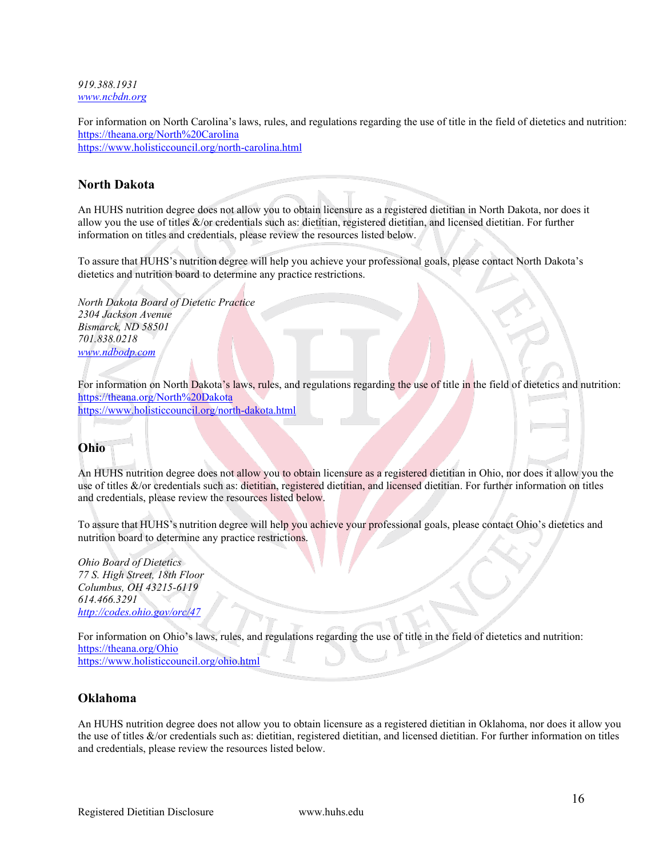*919.388.1931 [www.ncbdn.org](http://www.ncbdn.org/)*

For information on North Carolina's laws, rules, and regulations regarding the use of title in the field of dietetics and nutrition: <https://theana.org/North%20Carolina> <https://www.holisticcouncil.org/north-carolina.html>

#### <span id="page-15-0"></span>**North Dakota**

An HUHS nutrition degree does not allow you to obtain licensure as a registered dietitian in North Dakota, nor does it allow you the use of titles &/or credentials such as: dietitian, registered dietitian, and licensed dietitian. For further information on titles and credentials, please review the resources listed below.

To assure that HUHS's nutrition degree will help you achieve your professional goals, please contact North Dakota's dietetics and nutrition board to determine any practice restrictions.

*North Dakota Board of Dietetic Practice 2304 Jackson Avenue Bismarck, ND 58501 701.838.0218 [www.ndbodp.com](http://www.ndbodp.com/)*

For information on North Dakota's laws, rules, and regulations regarding the use of title in the field of dietetics and nutrition: <https://theana.org/North%20Dakota> <https://www.holisticcouncil.org/north-dakota.html>

#### <span id="page-15-1"></span>**Ohio**

An HUHS nutrition degree does not allow you to obtain licensure as a registered dietitian in Ohio, nor does it allow you the use of titles &/or credentials such as: dietitian, registered dietitian, and licensed dietitian. For further information on titles and credentials, please review the resources listed below.

To assure that HUHS's nutrition degree will help you achieve your professional goals, please contact Ohio's dietetics and nutrition board to determine any practice restrictions.

*Ohio Board of Dietetics 77 S. High Street, 18th Floor Columbus, OH 43215-6119 614.466.3291 <http://codes.ohio.gov/orc/47>*

For information on Ohio's laws, rules, and regulations regarding the use of title in the field of dietetics and nutrition: <https://theana.org/Ohio> <https://www.holisticcouncil.org/ohio.html>

#### <span id="page-15-2"></span>**Oklahoma**

An HUHS nutrition degree does not allow you to obtain licensure as a registered dietitian in Oklahoma, nor does it allow you the use of titles &/or credentials such as: dietitian, registered dietitian, and licensed dietitian. For further information on titles and credentials, please review the resources listed below.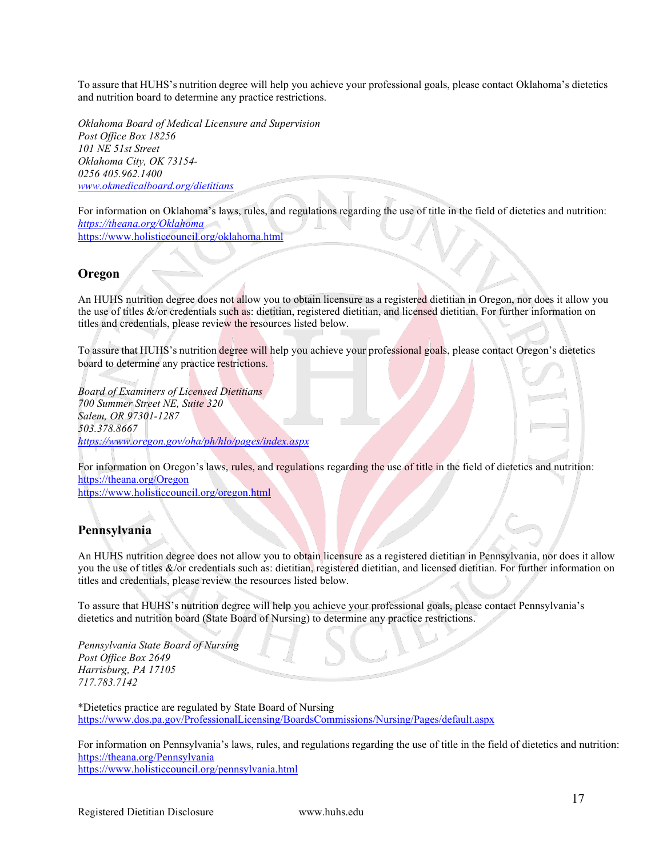To assure that HUHS's nutrition degree will help you achieve your professional goals, please contact Oklahoma's dietetics and nutrition board to determine any practice restrictions.

*Oklahoma Board of Medical Licensure and Supervision Post Office Box 18256 101 NE 51st Street Oklahoma City, OK 73154- 0256 405.962.1400 [www.okmedicalboard.org/dietitians](http://www.okmedicalboard.org/dietitians)*

For information on Oklahoma's laws, rules, and regulations regarding the use of title in the field of dietetics and nutrition: *<https://theana.org/Oklahoma>* <https://www.holisticcouncil.org/oklahoma.html>

#### **Oregon**

An HUHS nutrition degree does not allow you to obtain licensure as a registered dietitian in Oregon, nor does it allow you the use of titles &/or credentials such as: dietitian, registered dietitian, and licensed dietitian. For further information on titles and credentials, please review the resources listed below.

To assure that HUHS's nutrition degree will help you achieve your professional goals, please contact Oregon's dietetics board to determine any practice restrictions.

*Board of Examiners of Licensed Dietitians 700 Summer Street NE, Suite 320 Salem, OR 97301-1287 503.378.8667 <https://www.oregon.gov/oha/ph/hlo/pages/index.aspx>*

For information on Oregon's laws, rules, and regulations regarding the use of title in the field of dietetics and nutrition: <https://theana.org/Oregon>

<https://www.holisticcouncil.org/oregon.html>

#### <span id="page-16-0"></span>**Pennsylvania**

An HUHS nutrition degree does not allow you to obtain licensure as a registered dietitian in Pennsylvania, nor does it allow you the use of titles &/or credentials such as: dietitian, registered dietitian, and licensed dietitian. For further information on titles and credentials, please review the resources listed below.

To assure that HUHS's nutrition degree will help you achieve your professional goals, please contact Pennsylvania's dietetics and nutrition board (State Board of Nursing) to determine any practice restrictions.

*Pennsylvania State Board of Nursing Post Office Box 2649 Harrisburg, PA 17105 717.783.7142*

\*Dietetics practice are regulated by State Board of Nursing <https://www.dos.pa.gov/ProfessionalLicensing/BoardsCommissions/Nursing/Pages/default.aspx>

For information on Pennsylvania's laws, rules, and regulations regarding the use of title in the field of dietetics and nutrition: <https://theana.org/Pennsylvania> <https://www.holisticcouncil.org/pennsylvania.html>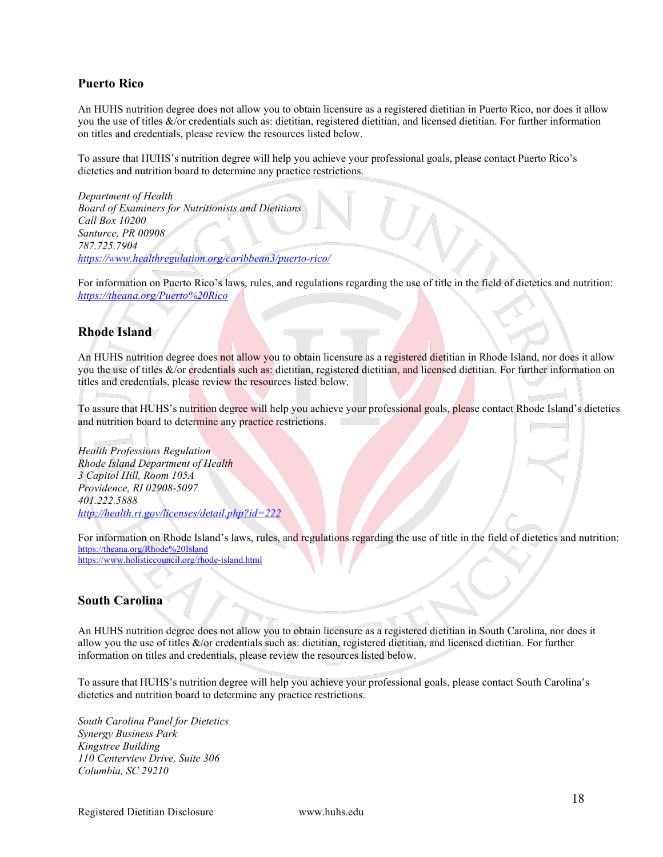#### <span id="page-17-0"></span>**Puerto Rico**

An HUHS nutrition degree does not allow you to obtain licensure as a registered dietitian in Puerto Rico, nor does it allow you the use of titles &/or credentials such as: dietitian, registered dietitian, and licensed dietitian. For further information on titles and credentials, please review the resources listed below.

To assure that HUHS's nutrition degree will help you achieve your professional goals, please contact Puerto Rico's dietetics and nutrition board to determine any practice restrictions.

*Department of Health Board of Examiners for Nutritionists and Dietitians Call Box 10200 Santurce, PR 00908 787.725.7904 <https://www.healthregulation.org/caribbean3/puerto-rico/>*

For information on Puerto Rico's laws, rules, and regulations regarding the use of title in the field of dietetics and nutrition: *<https://theana.org/Puerto%20Rico>*

#### <span id="page-17-1"></span>**Rhode Island**

An HUHS nutrition degree does not allow you to obtain licensure as a registered dietitian in Rhode Island, nor does it allow you the use of titles &/or credentials such as: dietitian, registered dietitian, and licensed dietitian. For further information on titles and credentials, please review the resources listed below.

To assure that HUHS's nutrition degree will help you achieve your professional goals, please contact Rhode Island's dietetics and nutrition board to determine any practice restrictions.

*Health Professions Regulation Rhode Island Department of Health 3 Capitol Hill, Room 105A Providence, RI 02908-5097 401.222.5888 <http://health.ri.gov/licenses/detail.php?id=222>*

For information on Rhode Island's laws, rules, and regulations regarding the use of title in the field of dietetics and nutrition: <https://theana.org/Rhode%20Island> <https://www.holisticcouncil.org/rhode-island.html>

#### <span id="page-17-2"></span>**South Carolina**

An HUHS nutrition degree does not allow you to obtain licensure as a registered dietitian in South Carolina, nor does it allow you the use of titles &/or credentials such as: dietitian, registered dietitian, and licensed dietitian. For further information on titles and credentials, please review the resources listed below.

To assure that HUHS's nutrition degree will help you achieve your professional goals, please contact South Carolina's dietetics and nutrition board to determine any practice restrictions.

*South Carolina Panel for Dietetics Synergy Business Park Kingstree Building 110 Centerview Drive, Suite 306 Columbia, SC 29210*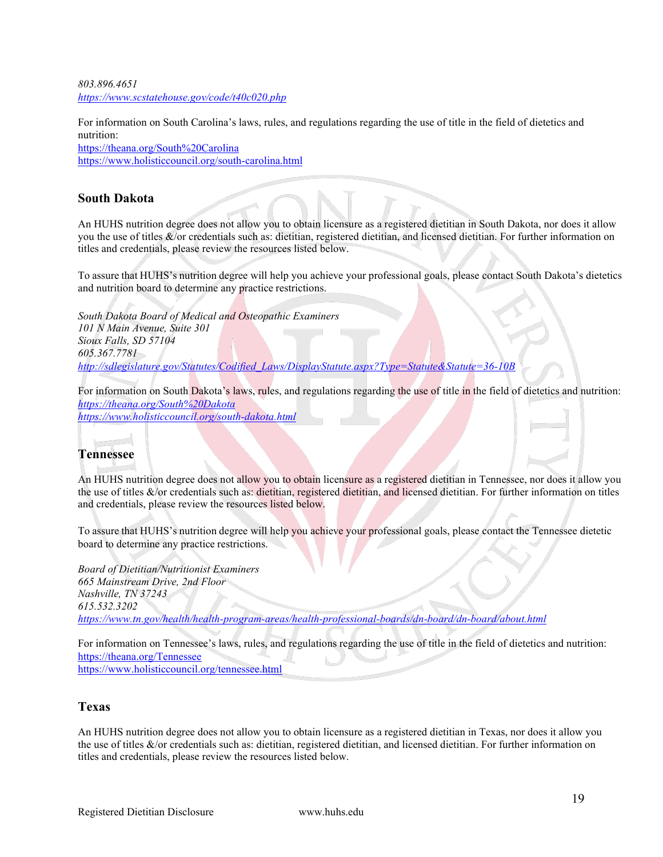*803.896.4651 <https://www.scstatehouse.gov/code/t40c020.php>*

For information on South Carolina's laws, rules, and regulations regarding the use of title in the field of dietetics and nutrition:

<https://theana.org/South%20Carolina> <https://www.holisticcouncil.org/south-carolina.html>

#### <span id="page-18-0"></span>**South Dakota**

An HUHS nutrition degree does not allow you to obtain licensure as a registered dietitian in South Dakota, nor does it allow you the use of titles &/or credentials such as: dietitian, registered dietitian, and licensed dietitian. For further information on titles and credentials, please review the resources listed below.

To assure that HUHS's nutrition degree will help you achieve your professional goals, please contact South Dakota's dietetics and nutrition board to determine any practice restrictions.

*South Dakota Board of Medical and Osteopathic Examiners 101 N Main Avenue, Suite 301 Sioux Falls, SD 57104 605.367.7781 [http://sdlegislature.gov/Statutes/Codified\\_Laws/DisplayStatute.aspx?Type=Statute&Statute=36-10B](http://sdlegislature.gov/Statutes/Codified_Laws/DisplayStatute.aspx?Type=Statute&Statute=36-10B)*

For information on South Dakota's laws, rules, and regulations regarding the use of title in the field of dietetics and nutrition: *<https://theana.org/South%20Dakota>*

*<https://www.holisticcouncil.org/south-dakota.html>*

# <span id="page-18-1"></span>**Tennessee**

An HUHS nutrition degree does not allow you to obtain licensure as a registered dietitian in Tennessee, nor does it allow you the use of titles &/or credentials such as: dietitian, registered dietitian, and licensed dietitian. For further information on titles and credentials, please review the resources listed below.

To assure that HUHS's nutrition degree will help you achieve your professional goals, please contact the Tennessee dietetic board to determine any practice restrictions.

*Board of Dietitian/Nutritionist Examiners 665 Mainstream Drive, 2nd Floor Nashville, TN 37243 615.532.3202 <https://www.tn.gov/health/health-program-areas/health-professional-boards/dn-board/dn-board/about.html>*

For information on Tennessee's laws, rules, and regulations regarding the use of title in the field of dietetics and nutrition: <https://theana.org/Tennessee> <https://www.holisticcouncil.org/tennessee.html>

#### <span id="page-18-2"></span>**Texas**

An HUHS nutrition degree does not allow you to obtain licensure as a registered dietitian in Texas, nor does it allow you the use of titles &/or credentials such as: dietitian, registered dietitian, and licensed dietitian. For further information on titles and credentials, please review the resources listed below.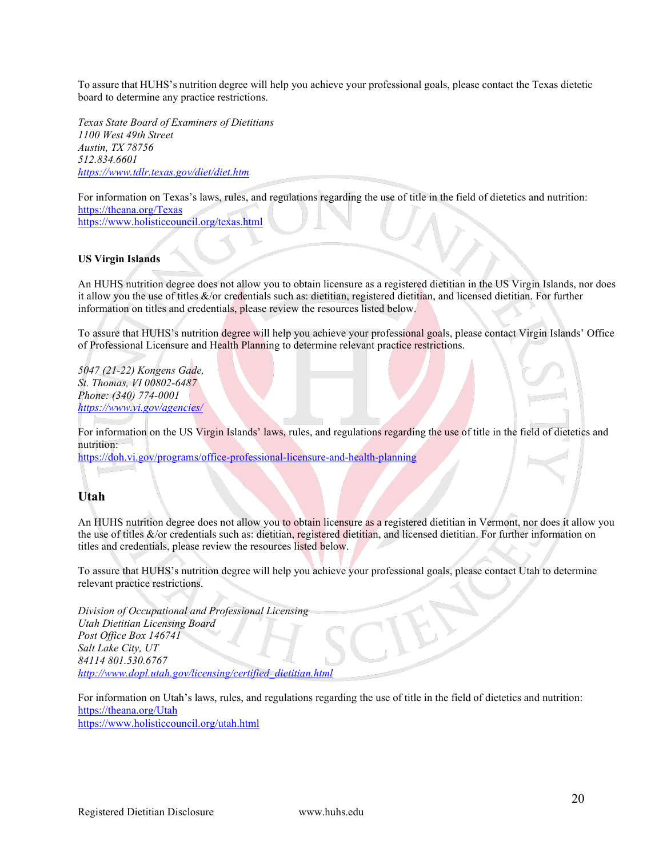To assure that HUHS's nutrition degree will help you achieve your professional goals, please contact the Texas dietetic board to determine any practice restrictions.

*Texas State Board of Examiners of Dietitians 1100 West 49th Street Austin, TX 78756 512.834.6601 <https://www.tdlr.texas.gov/diet/diet.htm>*

For information on Texas's laws, rules, and regulations regarding the use of title in the field of dietetics and nutrition: <https://theana.org/Texas> <https://www.holisticcouncil.org/texas.html>

#### **US Virgin Islands**

An HUHS nutrition degree does not allow you to obtain licensure as a registered dietitian in the US Virgin Islands, nor does it allow you the use of titles &/or credentials such as: dietitian, registered dietitian, and licensed dietitian. For further information on titles and credentials, please review the resources listed below.

To assure that HUHS's nutrition degree will help you achieve your professional goals, please contact Virgin Islands' Office of Professional Licensure and Health Planning to determine relevant practice restrictions.

*5047 (21-22) Kongens Gade, St. Thomas, VI 00802-6487 Phone: (340) 774-0001 <https://www.vi.gov/agencies/>*

For information on the US Virgin Islands' laws, rules, and regulations regarding the use of title in the field of dietetics and nutrition:

<https://doh.vi.gov/programs/office-professional-licensure-and-health-planning>

#### <span id="page-19-0"></span>**Utah**

An HUHS nutrition degree does not allow you to obtain licensure as a registered dietitian in Vermont, nor does it allow you the use of titles &/or credentials such as: dietitian, registered dietitian, and licensed dietitian. For further information on titles and credentials, please review the resources listed below.

To assure that HUHS's nutrition degree will help you achieve your professional goals, please contact Utah to determine relevant practice restrictions.

*Division of Occupational and Professional Licensing Utah Dietitian Licensing Board Post Office Box 146741 Salt Lake City, UT 84114 801.530.6767 [http://www.dopl.utah.gov/licensing/certified\\_dietitian.html](http://www.dopl.utah.gov/licensing/certified_dietitian.html)*

For information on Utah's laws, rules, and regulations regarding the use of title in the field of dietetics and nutrition: <https://theana.org/Utah> <https://www.holisticcouncil.org/utah.html>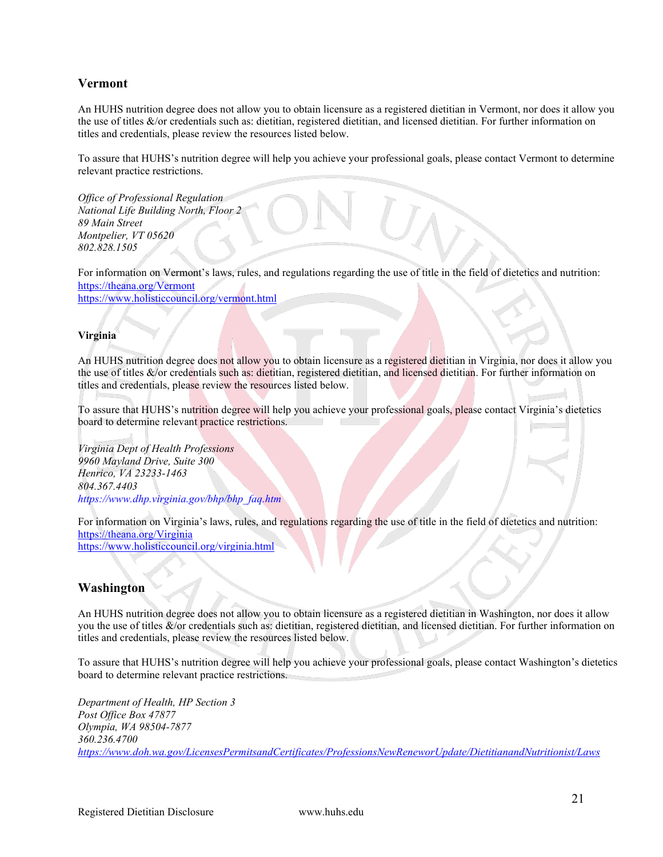#### <span id="page-20-1"></span>**Vermont**

An HUHS nutrition degree does not allow you to obtain licensure as a registered dietitian in Vermont, nor does it allow you the use of titles &/or credentials such as: dietitian, registered dietitian, and licensed dietitian. For further information on titles and credentials, please review the resources listed below.

To assure that HUHS's nutrition degree will help you achieve your professional goals, please contact Vermont to determine relevant practice restrictions.

*Office of Professional Regulation National Life Building North, Floor 2 89 Main Street Montpelier, VT 05620 802.828.1505*

For information on Vermont's laws, rules, and regulations regarding the use of title in the field of dietetics and nutrition: <https://theana.org/Vermont> <https://www.holisticcouncil.org/vermont.html>

#### <span id="page-20-2"></span><span id="page-20-0"></span>**Virginia**

An HUHS nutrition degree does not allow you to obtain licensure as a registered dietitian in Virginia, nor does it allow you the use of titles &/or credentials such as: dietitian, registered dietitian, and licensed dietitian. For further information on titles and credentials, please review the resources listed below.

To assure that HUHS's nutrition degree will help you achieve your professional goals, please contact Virginia's dietetics board to determine relevant practice restrictions. T.

*Virginia Dept of Health Professions 9960 Mayland Drive, Suite 300 Henrico, VA 23233-1463 804.367.4403 [https://www.dhp.virginia.gov/bhp/bhp\\_faq.htm](https://www.dhp.virginia.gov/bhp/bhp_faq.htm)*

For information on Virginia's laws, rules, and regulations regarding the use of title in the field of dietetics and nutrition: <https://theana.org/Virginia>

<https://www.holisticcouncil.org/virginia.html>

#### <span id="page-20-3"></span>**Washington**

An HUHS nutrition degree does not allow you to obtain licensure as a registered dietitian in Washington, nor does it allow you the use of titles &/or credentials such as: dietitian, registered dietitian, and licensed dietitian. For further information on titles and credentials, please review the resources listed below.

To assure that HUHS's nutrition degree will help you achieve your professional goals, please contact Washington's dietetics board to determine relevant practice restrictions.

*Department of Health, HP Section 3 Post Office Box 47877 Olympia, WA 98504-7877 360.236.4700 <https://www.doh.wa.gov/LicensesPermitsandCertificates/ProfessionsNewReneworUpdate/DietitianandNutritionist/Laws>*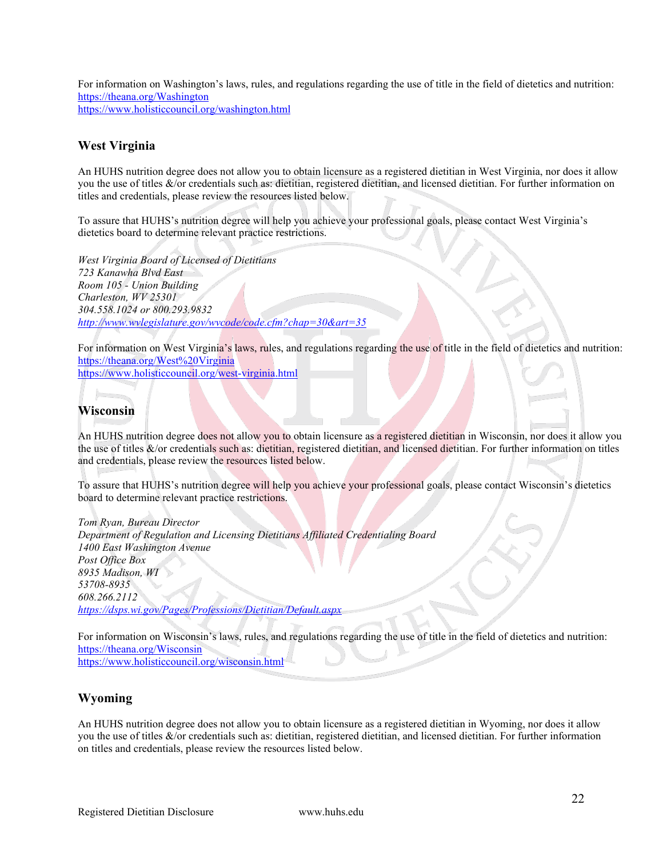For information on Washington's laws, rules, and regulations regarding the use of title in the field of dietetics and nutrition: <https://theana.org/Washington> <https://www.holisticcouncil.org/washington.html>

#### <span id="page-21-0"></span>**West Virginia**

An HUHS nutrition degree does not allow you to obtain licensure as a registered dietitian in West Virginia, nor does it allow you the use of titles &/or credentials such as: dietitian, registered dietitian, and licensed dietitian. For further information on titles and credentials, please review the resources listed below.

To assure that HUHS's nutrition degree will help you achieve your professional goals, please contact West Virginia's dietetics board to determine relevant practice restrictions.

*West Virginia Board of Licensed of Dietitians 723 Kanawha Blvd East Room 105 - Union Building Charleston, WV 25301 304.558.1024 or 800.293.9832 <http://www.wvlegislature.gov/wvcode/code.cfm?chap=30&art=35>*

For information on West Virginia's laws, rules, and regulations regarding the use of title in the field of dietetics and nutrition: <https://theana.org/West%20Virginia>

<https://www.holisticcouncil.org/west-virginia.html>

### <span id="page-21-1"></span>**Wisconsin**

An HUHS nutrition degree does not allow you to obtain licensure as a registered dietitian in Wisconsin, nor does it allow you the use of titles &/or credentials such as: dietitian, registered dietitian, and licensed dietitian. For further information on titles and credentials, please review the resources listed below.

To assure that HUHS's nutrition degree will help you achieve your professional goals, please contact Wisconsin's dietetics board to determine relevant practice restrictions.

*Tom Ryan, Bureau Director Department of Regulation and Licensing Dietitians Affiliated Credentialing Board 1400 East Washington Avenue Post Office Box 8935 Madison, WI 53708-8935 608.266.2112 <https://dsps.wi.gov/Pages/Professions/Dietitian/Default.aspx>*

For information on Wisconsin's laws, rules, and regulations regarding the use of title in the field of dietetics and nutrition: <https://theana.org/Wisconsin> <https://www.holisticcouncil.org/wisconsin.html>

#### <span id="page-21-2"></span>**Wyoming**

An HUHS nutrition degree does not allow you to obtain licensure as a registered dietitian in Wyoming, nor does it allow you the use of titles &/or credentials such as: dietitian, registered dietitian, and licensed dietitian. For further information on titles and credentials, please review the resources listed below.